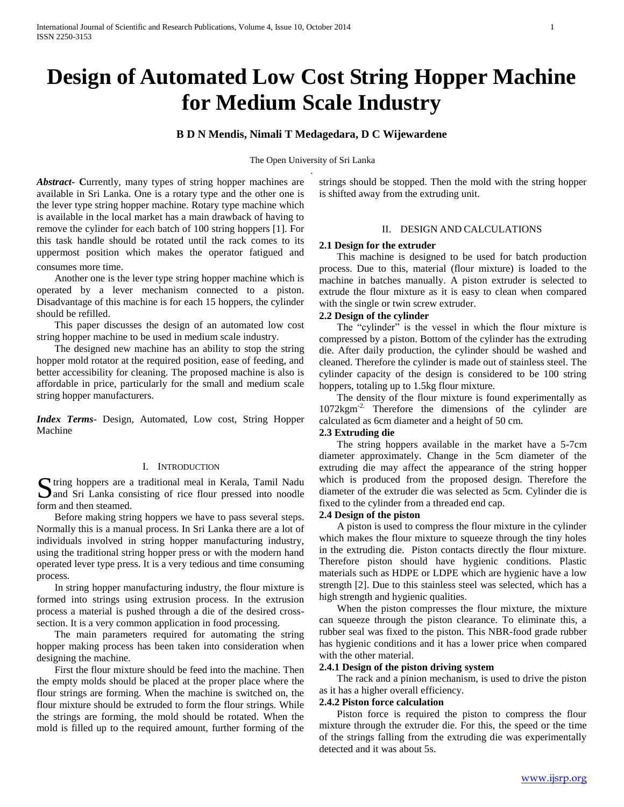# **Design of Automated Low Cost String Hopper Machine for Medium Scale Industry**

# **B D N Mendis, Nimali T Medagedara, D C Wijewardene**

The Open University of Sri Lanka .

Abstract Currently, many types of string hopper machines are available in Sri Lanka. One is a rotary type and the other one is the lever type string hopper machine. Rotary type machine which is available in the local market has a main drawback of having to remove the cylinder for each batch of 100 string hoppers [1]. For this task handle should be rotated until the rack comes to its uppermost position which makes the operator fatigued and

consumes more time.

 Another one is the lever type string hopper machine which is operated by a lever mechanism connected to a piston. Disadvantage of this machine is for each 15 hoppers, the cylinder should be refilled.

 This paper discusses the design of an automated low cost string hopper machine to be used in medium scale industry.

 The designed new machine has an ability to stop the string hopper mold rotator at the required position, ease of feeding, and better accessibility for cleaning. The proposed machine is also is affordable in price, particularly for the small and medium scale string hopper manufacturers.

*Index Terms*- Design, Automated, Low cost, String Hopper Machine

#### I. INTRODUCTION

Surface tring hoppers are a traditional meal in Kerala, Tamil Nadu and Sri Lanka consisting of rice flour pressed into noodle **D** and Sri Lanka consisting of rice flour pressed into noodle form and then steamed.

 Before making string hoppers we have to pass several steps. Normally this is a manual process. In Sri Lanka there are a lot of individuals involved in string hopper manufacturing industry, using the traditional string hopper press or with the modern hand operated lever type press. It is a very tedious and time consuming process.

 In string hopper manufacturing industry, the flour mixture is formed into strings using extrusion process. In the extrusion process a material is pushed through a die of the desired crosssection. It is a very common application in food processing.

 The main parameters required for automating the string hopper making process has been taken into consideration when designing the machine.

 First the flour mixture should be feed into the machine. Then the empty molds should be placed at the proper place where the flour strings are forming. When the machine is switched on, the flour mixture should be extruded to form the flour strings. While the strings are forming, the mold should be rotated. When the mold is filled up to the required amount, further forming of the

strings should be stopped. Then the mold with the string hopper is shifted away from the extruding unit.

## II. DESIGN AND CALCULATIONS

### **2.1 Design for the extruder**

 This machine is designed to be used for batch production process. Due to this, material (flour mixture) is loaded to the machine in batches manually. A piston extruder is selected to extrude the flour mixture as it is easy to clean when compared with the single or twin screw extruder.

# **2.2 Design of the cylinder**

 The "cylinder" is the vessel in which the flour mixture is compressed by a piston. Bottom of the cylinder has the extruding die. After daily production, the cylinder should be washed and cleaned. Therefore the cylinder is made out of stainless steel. The cylinder capacity of the design is considered to be 100 string hoppers, totaling up to 1.5kg flour mixture.

 The density of the flour mixture is found experimentally as 1072kgm-2. Therefore the dimensions of the cylinder are calculated as 6cm diameter and a height of 50 cm.

## **2.3 Extruding die**

 The string hoppers available in the market have a 5-7cm diameter approximately. Change in the 5cm diameter of the extruding die may affect the appearance of the string hopper which is produced from the proposed design. Therefore the diameter of the extruder die was selected as 5cm. Cylinder die is fixed to the cylinder from a threaded end cap.

# **2.4 Design of the piston**

 A piston is used to compress the flour mixture in the cylinder which makes the flour mixture to squeeze through the tiny holes in the extruding die. Piston contacts directly the flour mixture. Therefore piston should have hygienic conditions. Plastic materials such as HDPE or LDPE which are hygienic have a low strength [2]. Due to this stainless steel was selected, which has a high strength and hygienic qualities.

 When the piston compresses the flour mixture, the mixture can squeeze through the piston clearance. To eliminate this, a rubber seal was fixed to the piston. This NBR-food grade rubber has hygienic conditions and it has a lower price when compared with the other material.

# **2.4.1 Design of the piston driving system**

 The rack and a pinion mechanism, is used to drive the piston as it has a higher overall efficiency.

### **2.4.2 Piston force calculation**

 Piston force is required the piston to compress the flour mixture through the extruder die. For this, the speed or the time of the strings falling from the extruding die was experimentally detected and it was about 5s.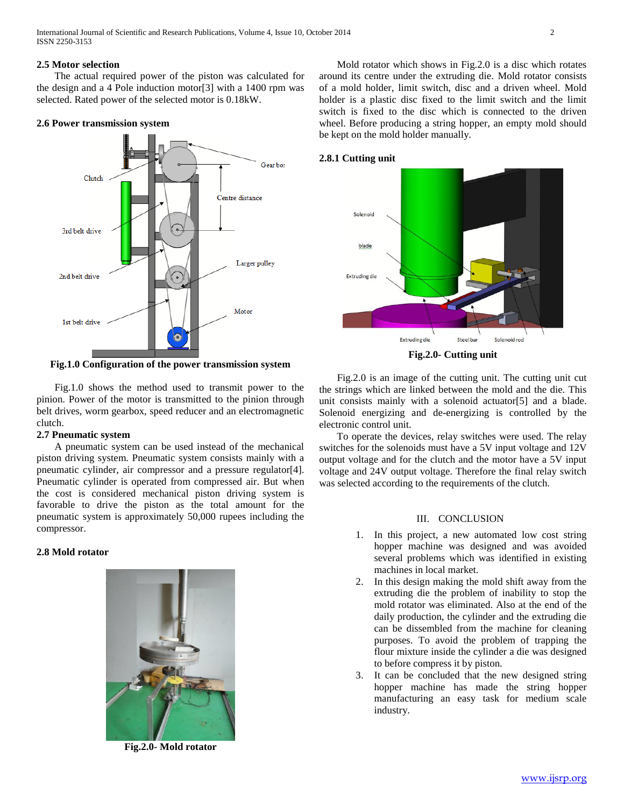International Journal of Scientific and Research Publications, Volume 4, Issue 10, October 2014 2 ISSN 2250-3153

## **2.5 Motor selection**

 The actual required power of the piston was calculated for the design and a 4 Pole induction motor[3] with a 1400 rpm was selected. Rated power of the selected motor is 0.18kW.

#### **2.6 Power transmission system**



**Fig.1.0 Configuration of the power transmission system**

 Fig.1.0 shows the method used to transmit power to the pinion. Power of the motor is transmitted to the pinion through belt drives, worm gearbox, speed reducer and an electromagnetic clutch.

### **2.7 Pneumatic system**

 A pneumatic system can be used instead of the mechanical piston driving system. Pneumatic system consists mainly with a pneumatic cylinder, air compressor and a pressure regulator[4]. Pneumatic cylinder is operated from compressed air. But when the cost is considered mechanical piston driving system is favorable to drive the piston as the total amount for the pneumatic system is approximately 50,000 rupees including the compressor.

## **2.8 Mold rotator**



**Fig.2.0- Mold rotator**

 Mold rotator which shows in Fig.2.0 is a disc which rotates around its centre under the extruding die. Mold rotator consists of a mold holder, limit switch, disc and a driven wheel. Mold holder is a plastic disc fixed to the limit switch and the limit switch is fixed to the disc which is connected to the driven wheel. Before producing a string hopper, an empty mold should be kept on the mold holder manually.

#### **2.8.1 Cutting unit**



**Fig.2.0- Cutting unit**

 Fig.2.0 is an image of the cutting unit. The cutting unit cut the strings which are linked between the mold and the die. This unit consists mainly with a solenoid actuator[5] and a blade. Solenoid energizing and de-energizing is controlled by the electronic control unit.

 To operate the devices, relay switches were used. The relay switches for the solenoids must have a 5V input voltage and 12V output voltage and for the clutch and the motor have a 5V input voltage and 24V output voltage. Therefore the final relay switch was selected according to the requirements of the clutch.

#### III. CONCLUSION

- 1. In this project, a new automated low cost string hopper machine was designed and was avoided several problems which was identified in existing machines in local market.
- 2. In this design making the mold shift away from the extruding die the problem of inability to stop the mold rotator was eliminated. Also at the end of the daily production, the cylinder and the extruding die can be dissembled from the machine for cleaning purposes. To avoid the problem of trapping the flour mixture inside the cylinder a die was designed to before compress it by piston.
- 3. It can be concluded that the new designed string hopper machine has made the string hopper manufacturing an easy task for medium scale industry.